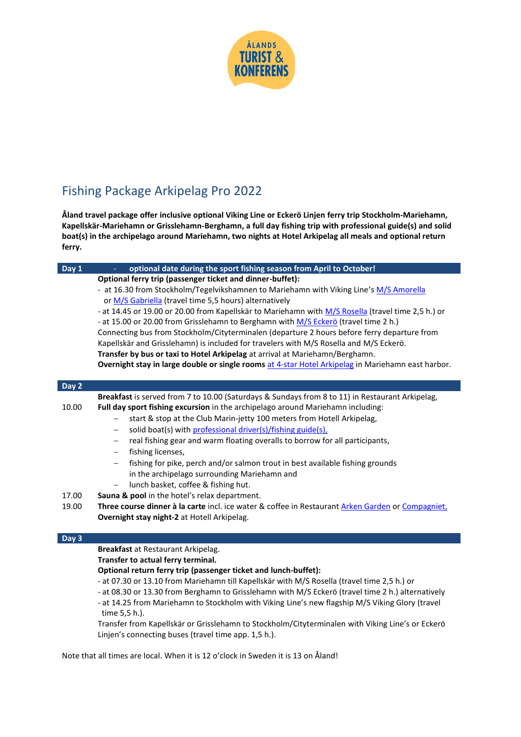

## Fishing Package Arkipelag Pro 2022

**Åland travel package offer inclusive optional Viking Line or Eckerö Linjen ferry trip Stockholm-Mariehamn, Kapellskär-Mariehamn or Grisslehamn-Berghamn, a full day fishing trip with professional guide(s) and solid boat(s) in the archipelago around Mariehamn, two nights at Hotel Arkipelag all meals and optional return ferry.**

| Day 1<br>optional date during the sport fishing season from April to October!<br>$\equiv$          |  |  |
|----------------------------------------------------------------------------------------------------|--|--|
| Optional ferry trip (passenger ticket and dinner-buffet):                                          |  |  |
| - at 16.30 from Stockholm/Tegelvikshamnen to Mariehamn with Viking Line's M/S Amorella             |  |  |
| or M/S Gabriella (travel time 5,5 hours) alternatively                                             |  |  |
| - at 14.45 or 19.00 or 20.00 from Kapellskär to Mariehamn with M/S Rosella (travel time 2,5 h.) or |  |  |
| - at 15.00 or 20.00 from Grisslehamn to Berghamn with M/S Eckerö (travel time 2 h.)                |  |  |
| Connecting bus from Stockholm/Cityterminalen (departure 2 hours before ferry departure from        |  |  |
| Kapellskär and Grisslehamn) is included for travelers with M/S Rosella and M/S Eckerö.             |  |  |
| Transfer by bus or taxi to Hotel Arkipelag at arrival at Mariehamn/Berghamn.                       |  |  |
| Overnight stay in large double or single rooms at 4-star Hotel Arkipelag in Mariehamn east harbor. |  |  |
|                                                                                                    |  |  |
|                                                                                                    |  |  |
| Breakfast is served from 7 to 10.00 (Saturdays & Sundays from 8 to 11) in Restaurant Arkipelag,    |  |  |
| Full day sport fishing excursion in the archipelago around Mariehamn including:                    |  |  |
| start & stop at the Club Marin-jetty 100 meters from Hotell Arkipelag,<br>$\qquad \qquad -$        |  |  |
| solid boat(s) with professional driver(s)/fishing guide(s),<br>$\qquad \qquad -$                   |  |  |
| real fishing gear and warm floating overalls to borrow for all participants,<br>-                  |  |  |
| fishing licenses,<br>$\qquad \qquad -$                                                             |  |  |
| fishing for pike, perch and/or salmon trout in best available fishing grounds<br>$\qquad \qquad -$ |  |  |
| in the archipelago surrounding Mariehamn and                                                       |  |  |
| lunch basket, coffee & fishing hut.<br>$\qquad \qquad -$                                           |  |  |
|                                                                                                    |  |  |
| Sauna & pool in the hotel's relax department.                                                      |  |  |
| Three course dinner à la carte incl. ice water & coffee in Restaurant Arken Garden or Compagniet,  |  |  |
| Overnight stay night-2 at Hotell Arkipelag.                                                        |  |  |
|                                                                                                    |  |  |
|                                                                                                    |  |  |
| Breakfast at Restaurant Arkipelag.<br>Transfer to actual ferry terminal.                           |  |  |
|                                                                                                    |  |  |

## **Optional return ferry trip (passenger ticket and lunch-buffet):**

- at 07.30 or 13.10 from Mariehamn till Kapellskär with M/S Rosella (travel time 2,5 h.) or

- at 08.30 or 13.30 from Berghamn to Grisslehamn with M/S Eckerö (travel time 2 h.) alternatively

- at 14.25 from Mariehamn to Stockholm with Viking Line's new flagship M/S Viking Glory (travel

time 5,5 h.).

Transfer from Kapellskär or Grisslehamn to Stockholm/Cityterminalen with Viking Line's or Eckerö Linjen's connecting buses (travel time app. 1,5 h.).

Note that all times are local. When it is 12 o'clock in Sweden it is 13 on Åland!